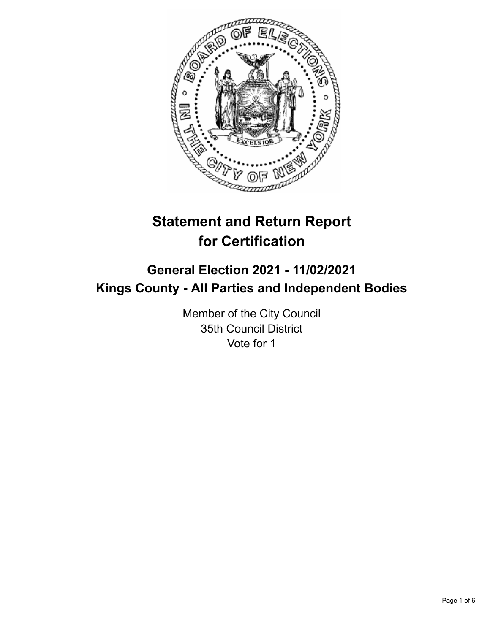

# **Statement and Return Report for Certification**

# **General Election 2021 - 11/02/2021 Kings County - All Parties and Independent Bodies**

Member of the City Council 35th Council District Vote for 1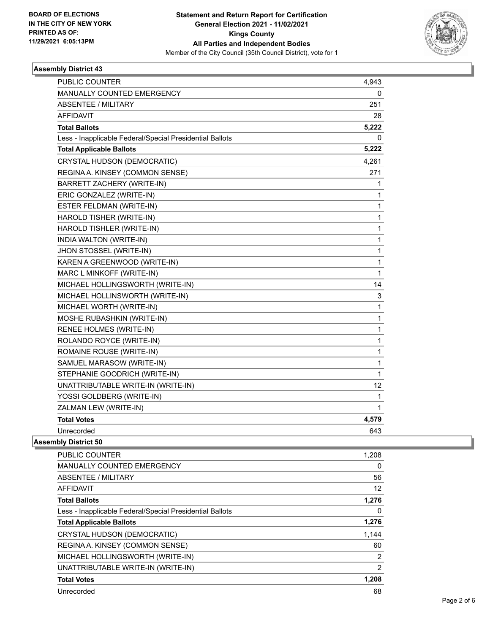

# **Assembly District 43**

| <b>MANUALLY COUNTED EMERGENCY</b><br>0<br><b>ABSENTEE / MILITARY</b><br>251<br><b>AFFIDAVIT</b><br>28<br>5,222<br><b>Total Ballots</b><br>0<br>Less - Inapplicable Federal/Special Presidential Ballots<br><b>Total Applicable Ballots</b><br>5,222<br>4,261<br>CRYSTAL HUDSON (DEMOCRATIC)<br>REGINA A. KINSEY (COMMON SENSE)<br>271<br>BARRETT ZACHERY (WRITE-IN)<br>1<br>ERIC GONZALEZ (WRITE-IN)<br>1<br>ESTER FELDMAN (WRITE-IN)<br>1<br>HAROLD TISHER (WRITE-IN)<br>1<br>HAROLD TISHLER (WRITE-IN)<br>1<br>INDIA WALTON (WRITE-IN)<br>1<br>1<br>JHON STOSSEL (WRITE-IN)<br>KAREN A GREENWOOD (WRITE-IN)<br>1<br>MARC L MINKOFF (WRITE-IN)<br>1<br>MICHAEL HOLLINGSWORTH (WRITE-IN)<br>14<br>MICHAEL HOLLINSWORTH (WRITE-IN)<br>3<br>MICHAEL WORTH (WRITE-IN)<br>1<br>MOSHE RUBASHKIN (WRITE-IN)<br>1<br>1<br>RENEE HOLMES (WRITE-IN)<br>ROLANDO ROYCE (WRITE-IN)<br>1<br>ROMAINE ROUSE (WRITE-IN)<br>1<br>SAMUEL MARASOW (WRITE-IN)<br>1<br>STEPHANIE GOODRICH (WRITE-IN)<br>1<br>UNATTRIBUTABLE WRITE-IN (WRITE-IN)<br>12<br>YOSSI GOLDBERG (WRITE-IN)<br>1<br>ZALMAN LEW (WRITE-IN)<br>1<br><b>Total Votes</b><br>4,579<br>Unrecorded<br>643 | <b>PUBLIC COUNTER</b> | 4,943 |
|------------------------------------------------------------------------------------------------------------------------------------------------------------------------------------------------------------------------------------------------------------------------------------------------------------------------------------------------------------------------------------------------------------------------------------------------------------------------------------------------------------------------------------------------------------------------------------------------------------------------------------------------------------------------------------------------------------------------------------------------------------------------------------------------------------------------------------------------------------------------------------------------------------------------------------------------------------------------------------------------------------------------------------------------------------------------------------------------------------------------------------------------------|-----------------------|-------|
|                                                                                                                                                                                                                                                                                                                                                                                                                                                                                                                                                                                                                                                                                                                                                                                                                                                                                                                                                                                                                                                                                                                                                      |                       |       |
|                                                                                                                                                                                                                                                                                                                                                                                                                                                                                                                                                                                                                                                                                                                                                                                                                                                                                                                                                                                                                                                                                                                                                      |                       |       |
|                                                                                                                                                                                                                                                                                                                                                                                                                                                                                                                                                                                                                                                                                                                                                                                                                                                                                                                                                                                                                                                                                                                                                      |                       |       |
|                                                                                                                                                                                                                                                                                                                                                                                                                                                                                                                                                                                                                                                                                                                                                                                                                                                                                                                                                                                                                                                                                                                                                      |                       |       |
|                                                                                                                                                                                                                                                                                                                                                                                                                                                                                                                                                                                                                                                                                                                                                                                                                                                                                                                                                                                                                                                                                                                                                      |                       |       |
|                                                                                                                                                                                                                                                                                                                                                                                                                                                                                                                                                                                                                                                                                                                                                                                                                                                                                                                                                                                                                                                                                                                                                      |                       |       |
|                                                                                                                                                                                                                                                                                                                                                                                                                                                                                                                                                                                                                                                                                                                                                                                                                                                                                                                                                                                                                                                                                                                                                      |                       |       |
|                                                                                                                                                                                                                                                                                                                                                                                                                                                                                                                                                                                                                                                                                                                                                                                                                                                                                                                                                                                                                                                                                                                                                      |                       |       |
|                                                                                                                                                                                                                                                                                                                                                                                                                                                                                                                                                                                                                                                                                                                                                                                                                                                                                                                                                                                                                                                                                                                                                      |                       |       |
|                                                                                                                                                                                                                                                                                                                                                                                                                                                                                                                                                                                                                                                                                                                                                                                                                                                                                                                                                                                                                                                                                                                                                      |                       |       |
|                                                                                                                                                                                                                                                                                                                                                                                                                                                                                                                                                                                                                                                                                                                                                                                                                                                                                                                                                                                                                                                                                                                                                      |                       |       |
|                                                                                                                                                                                                                                                                                                                                                                                                                                                                                                                                                                                                                                                                                                                                                                                                                                                                                                                                                                                                                                                                                                                                                      |                       |       |
|                                                                                                                                                                                                                                                                                                                                                                                                                                                                                                                                                                                                                                                                                                                                                                                                                                                                                                                                                                                                                                                                                                                                                      |                       |       |
|                                                                                                                                                                                                                                                                                                                                                                                                                                                                                                                                                                                                                                                                                                                                                                                                                                                                                                                                                                                                                                                                                                                                                      |                       |       |
|                                                                                                                                                                                                                                                                                                                                                                                                                                                                                                                                                                                                                                                                                                                                                                                                                                                                                                                                                                                                                                                                                                                                                      |                       |       |
|                                                                                                                                                                                                                                                                                                                                                                                                                                                                                                                                                                                                                                                                                                                                                                                                                                                                                                                                                                                                                                                                                                                                                      |                       |       |
|                                                                                                                                                                                                                                                                                                                                                                                                                                                                                                                                                                                                                                                                                                                                                                                                                                                                                                                                                                                                                                                                                                                                                      |                       |       |
|                                                                                                                                                                                                                                                                                                                                                                                                                                                                                                                                                                                                                                                                                                                                                                                                                                                                                                                                                                                                                                                                                                                                                      |                       |       |
|                                                                                                                                                                                                                                                                                                                                                                                                                                                                                                                                                                                                                                                                                                                                                                                                                                                                                                                                                                                                                                                                                                                                                      |                       |       |
|                                                                                                                                                                                                                                                                                                                                                                                                                                                                                                                                                                                                                                                                                                                                                                                                                                                                                                                                                                                                                                                                                                                                                      |                       |       |
|                                                                                                                                                                                                                                                                                                                                                                                                                                                                                                                                                                                                                                                                                                                                                                                                                                                                                                                                                                                                                                                                                                                                                      |                       |       |
|                                                                                                                                                                                                                                                                                                                                                                                                                                                                                                                                                                                                                                                                                                                                                                                                                                                                                                                                                                                                                                                                                                                                                      |                       |       |
|                                                                                                                                                                                                                                                                                                                                                                                                                                                                                                                                                                                                                                                                                                                                                                                                                                                                                                                                                                                                                                                                                                                                                      |                       |       |
|                                                                                                                                                                                                                                                                                                                                                                                                                                                                                                                                                                                                                                                                                                                                                                                                                                                                                                                                                                                                                                                                                                                                                      |                       |       |
|                                                                                                                                                                                                                                                                                                                                                                                                                                                                                                                                                                                                                                                                                                                                                                                                                                                                                                                                                                                                                                                                                                                                                      |                       |       |
|                                                                                                                                                                                                                                                                                                                                                                                                                                                                                                                                                                                                                                                                                                                                                                                                                                                                                                                                                                                                                                                                                                                                                      |                       |       |
|                                                                                                                                                                                                                                                                                                                                                                                                                                                                                                                                                                                                                                                                                                                                                                                                                                                                                                                                                                                                                                                                                                                                                      |                       |       |
|                                                                                                                                                                                                                                                                                                                                                                                                                                                                                                                                                                                                                                                                                                                                                                                                                                                                                                                                                                                                                                                                                                                                                      |                       |       |
|                                                                                                                                                                                                                                                                                                                                                                                                                                                                                                                                                                                                                                                                                                                                                                                                                                                                                                                                                                                                                                                                                                                                                      |                       |       |
|                                                                                                                                                                                                                                                                                                                                                                                                                                                                                                                                                                                                                                                                                                                                                                                                                                                                                                                                                                                                                                                                                                                                                      |                       |       |
|                                                                                                                                                                                                                                                                                                                                                                                                                                                                                                                                                                                                                                                                                                                                                                                                                                                                                                                                                                                                                                                                                                                                                      |                       |       |

#### **Assembly District 50**

| <b>PUBLIC COUNTER</b>                                    | 1,208          |
|----------------------------------------------------------|----------------|
| <b>MANUALLY COUNTED EMERGENCY</b>                        | 0              |
| ABSENTEE / MILITARY                                      | 56             |
| AFFIDAVIT                                                | 12             |
| <b>Total Ballots</b>                                     | 1,276          |
| Less - Inapplicable Federal/Special Presidential Ballots | 0              |
| <b>Total Applicable Ballots</b>                          | 1,276          |
| CRYSTAL HUDSON (DEMOCRATIC)                              | 1,144          |
| REGINA A. KINSEY (COMMON SENSE)                          | 60             |
| MICHAEL HOLLINGSWORTH (WRITE-IN)                         | $\overline{2}$ |
| UNATTRIBUTABLE WRITE-IN (WRITE-IN)                       | $\overline{2}$ |
| <b>Total Votes</b>                                       | 1,208          |
| Unrecorded                                               | 68             |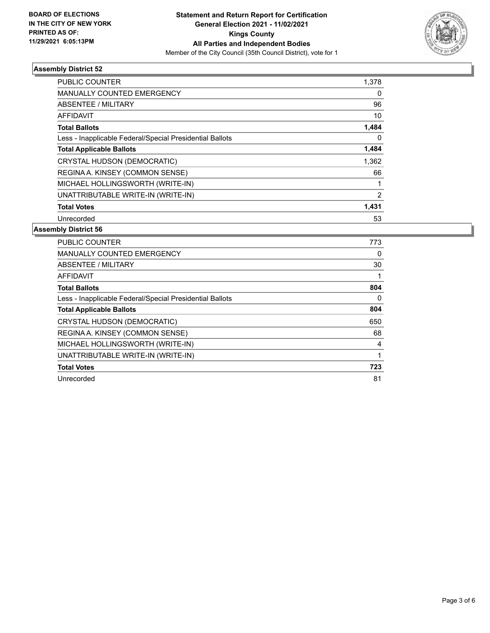

# **Assembly District 52**

| <b>PUBLIC COUNTER</b>                                    | 1,378          |
|----------------------------------------------------------|----------------|
| <b>MANUALLY COUNTED EMERGENCY</b>                        | 0              |
| ABSENTEE / MILITARY                                      | 96             |
| AFFIDAVIT                                                | 10             |
| <b>Total Ballots</b>                                     | 1,484          |
| Less - Inapplicable Federal/Special Presidential Ballots | 0              |
| <b>Total Applicable Ballots</b>                          | 1,484          |
| CRYSTAL HUDSON (DEMOCRATIC)                              | 1,362          |
| REGINA A. KINSEY (COMMON SENSE)                          | 66             |
| MICHAEL HOLLINGSWORTH (WRITE-IN)                         |                |
| UNATTRIBUTABLE WRITE-IN (WRITE-IN)                       | $\overline{2}$ |
| <b>Total Votes</b>                                       | 1,431          |
| Unrecorded                                               | 53             |

#### **Assembly District 56**

| PUBLIC COUNTER                                           | 773 |
|----------------------------------------------------------|-----|
| <b>MANUALLY COUNTED EMERGENCY</b>                        | 0   |
| ABSENTEE / MILITARY                                      | 30  |
| AFFIDAVIT                                                |     |
| <b>Total Ballots</b>                                     | 804 |
| Less - Inapplicable Federal/Special Presidential Ballots | 0   |
| <b>Total Applicable Ballots</b>                          | 804 |
| CRYSTAL HUDSON (DEMOCRATIC)                              | 650 |
| REGINA A. KINSEY (COMMON SENSE)                          | 68  |
| MICHAEL HOLLINGSWORTH (WRITE-IN)                         | 4   |
| UNATTRIBUTABLE WRITE-IN (WRITE-IN)                       |     |
| <b>Total Votes</b>                                       | 723 |
| Unrecorded                                               | 81  |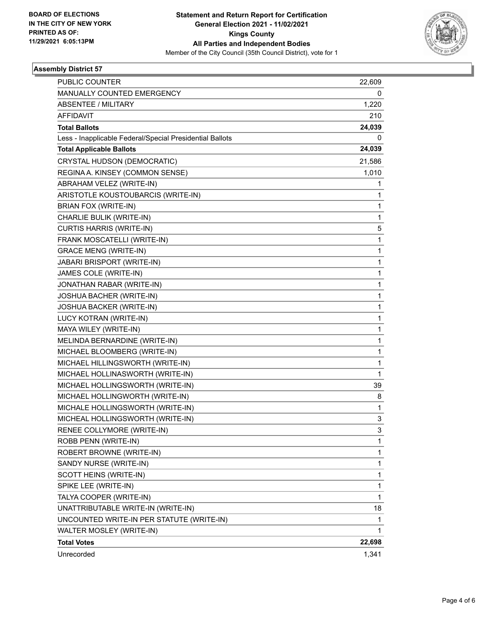

# **Assembly District 57**

| PUBLIC COUNTER                                           | 22,609       |
|----------------------------------------------------------|--------------|
| MANUALLY COUNTED EMERGENCY                               | 0            |
| <b>ABSENTEE / MILITARY</b>                               | 1,220        |
| <b>AFFIDAVIT</b>                                         | 210          |
| <b>Total Ballots</b>                                     | 24,039       |
| Less - Inapplicable Federal/Special Presidential Ballots | 0            |
| <b>Total Applicable Ballots</b>                          | 24,039       |
| CRYSTAL HUDSON (DEMOCRATIC)                              | 21,586       |
| REGINA A. KINSEY (COMMON SENSE)                          | 1,010        |
| ABRAHAM VELEZ (WRITE-IN)                                 | 1            |
| ARISTOTLE KOUSTOUBARCIS (WRITE-IN)                       | 1            |
| BRIAN FOX (WRITE-IN)                                     | 1            |
| CHARLIE BULIK (WRITE-IN)                                 | 1            |
| <b>CURTIS HARRIS (WRITE-IN)</b>                          | 5            |
| FRANK MOSCATELLI (WRITE-IN)                              | $\mathbf 1$  |
| <b>GRACE MENG (WRITE-IN)</b>                             | 1            |
| JABARI BRISPORT (WRITE-IN)                               | $\mathbf{1}$ |
| JAMES COLE (WRITE-IN)                                    | $\mathbf{1}$ |
| JONATHAN RABAR (WRITE-IN)                                | 1            |
| JOSHUA BACHER (WRITE-IN)                                 | $\mathbf{1}$ |
| JOSHUA BACKER (WRITE-IN)                                 | $\mathbf{1}$ |
| LUCY KOTRAN (WRITE-IN)                                   | 1            |
| MAYA WILEY (WRITE-IN)                                    | $\mathbf{1}$ |
| MELINDA BERNARDINE (WRITE-IN)                            | $\mathbf{1}$ |
| MICHAEL BLOOMBERG (WRITE-IN)                             | 1            |
| MICHAEL HILLINGSWORTH (WRITE-IN)                         | $\mathbf{1}$ |
| MICHAEL HOLLINASWORTH (WRITE-IN)                         | $\mathbf{1}$ |
| MICHAEL HOLLINGSWORTH (WRITE-IN)                         | 39           |
| MICHAEL HOLLINGWORTH (WRITE-IN)                          | 8            |
| MICHALE HOLLINGSWORTH (WRITE-IN)                         | 1            |
| MICHEAL HOLLINGSWORTH (WRITE-IN)                         | 3            |
| RENEE COLLYMORE (WRITE-IN)                               | 3            |
| ROBB PENN (WRITE-IN)                                     | 1            |
| ROBERT BROWNE (WRITE-IN)                                 | 1            |
| SANDY NURSE (WRITE-IN)                                   | $\mathbf{1}$ |
| SCOTT HEINS (WRITE-IN)                                   | $\mathbf{1}$ |
| SPIKE LEE (WRITE-IN)                                     | 1            |
| TALYA COOPER (WRITE-IN)                                  | $\mathbf{1}$ |
| UNATTRIBUTABLE WRITE-IN (WRITE-IN)                       | 18           |
| UNCOUNTED WRITE-IN PER STATUTE (WRITE-IN)                | 1            |
| WALTER MOSLEY (WRITE-IN)                                 | $\mathbf{1}$ |
| <b>Total Votes</b>                                       | 22,698       |
| Unrecorded                                               | 1,341        |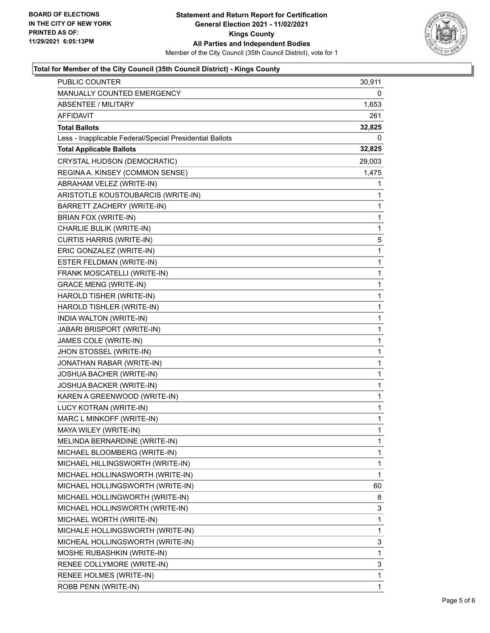

# **Total for Member of the City Council (35th Council District) - Kings County**

| PUBLIC COUNTER                                           | 30,911       |
|----------------------------------------------------------|--------------|
| MANUALLY COUNTED EMERGENCY                               | 0            |
| <b>ABSENTEE / MILITARY</b>                               | 1,653        |
| AFFIDAVIT                                                | 261          |
| <b>Total Ballots</b>                                     | 32,825       |
| Less - Inapplicable Federal/Special Presidential Ballots | 0            |
| <b>Total Applicable Ballots</b>                          | 32,825       |
| CRYSTAL HUDSON (DEMOCRATIC)                              | 29,003       |
| REGINA A. KINSEY (COMMON SENSE)                          | 1,475        |
| ABRAHAM VELEZ (WRITE-IN)                                 | 1            |
| ARISTOTLE KOUSTOUBARCIS (WRITE-IN)                       | 1            |
| BARRETT ZACHERY (WRITE-IN)                               | 1            |
| BRIAN FOX (WRITE-IN)                                     | 1            |
| CHARLIE BULIK (WRITE-IN)                                 | 1            |
| <b>CURTIS HARRIS (WRITE-IN)</b>                          | 5            |
| ERIC GONZALEZ (WRITE-IN)                                 | 1            |
| ESTER FELDMAN (WRITE-IN)                                 | 1            |
| FRANK MOSCATELLI (WRITE-IN)                              | 1            |
| <b>GRACE MENG (WRITE-IN)</b>                             | 1            |
| HAROLD TISHER (WRITE-IN)                                 | 1            |
| HAROLD TISHLER (WRITE-IN)                                | 1            |
| INDIA WALTON (WRITE-IN)                                  | 1            |
| JABARI BRISPORT (WRITE-IN)                               | 1            |
| JAMES COLE (WRITE-IN)                                    | 1            |
| JHON STOSSEL (WRITE-IN)                                  | 1            |
| JONATHAN RABAR (WRITE-IN)                                | 1            |
| JOSHUA BACHER (WRITE-IN)                                 | 1            |
| JOSHUA BACKER (WRITE-IN)                                 | 1            |
| KAREN A GREENWOOD (WRITE-IN)                             | 1            |
| LUCY KOTRAN (WRITE-IN)                                   | 1            |
| MARC L MINKOFF (WRITE-IN)                                | 1            |
| MAYA WILEY (WRITE-IN)                                    | $\mathbf{1}$ |
| MELINDA BERNARDINE (WRITE-IN)                            | 1            |
| MICHAEL BLOOMBERG (WRITE-IN)                             | 1            |
| MICHAEL HILLINGSWORTH (WRITE-IN)                         | 1            |
| MICHAEL HOLLINASWORTH (WRITE-IN)                         | 1            |
| MICHAEL HOLLINGSWORTH (WRITE-IN)                         | 60           |
| MICHAEL HOLLINGWORTH (WRITE-IN)                          | 8            |
| MICHAEL HOLLINSWORTH (WRITE-IN)                          | 3            |
| MICHAEL WORTH (WRITE-IN)                                 | 1            |
| MICHALE HOLLINGSWORTH (WRITE-IN)                         | 1            |
| MICHEAL HOLLINGSWORTH (WRITE-IN)                         | 3            |
| MOSHE RUBASHKIN (WRITE-IN)                               | 1            |
| RENEE COLLYMORE (WRITE-IN)                               | 3            |
| RENEE HOLMES (WRITE-IN)                                  | 1            |
| ROBB PENN (WRITE-IN)                                     | 1            |